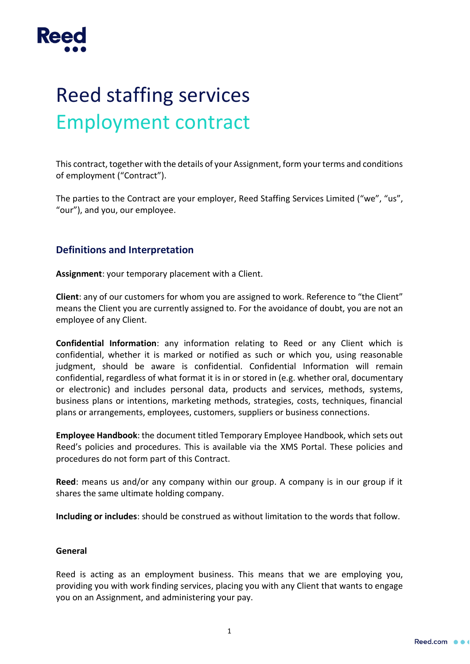

# Reed staffing services Employment contract

This contract, together with the details of your Assignment, form your terms and conditions of employment ("Contract").

The parties to the Contract are your employer, Reed Staffing Services Limited ("we", "us", "our"), and you, our employee.

## **Definitions and Interpretation**

**Assignment**: your temporary placement with a Client.

**Client**: any of our customers for whom you are assigned to work. Reference to "the Client" means the Client you are currently assigned to. For the avoidance of doubt, you are not an employee of any Client.

**Confidential Information**: any information relating to Reed or any Client which is confidential, whether it is marked or notified as such or which you, using reasonable judgment, should be aware is confidential. Confidential Information will remain confidential, regardless of what format it is in or stored in (e.g. whether oral, documentary or electronic) and includes personal data, products and services, methods, systems, business plans or intentions, marketing methods, strategies, costs, techniques, financial plans or arrangements, employees, customers, suppliers or business connections.

**Employee Handbook**: the document titled Temporary Employee Handbook, which sets out Reed's policies and procedures. This is available via the XMS Portal. These policies and procedures do not form part of this Contract.

**Reed**: means us and/or any company within our group. A company is in our group if it shares the same ultimate holding company.

**Including or includes**: should be construed as without limitation to the words that follow.

## **General**

Reed is acting as an employment business. This means that we are employing you, providing you with work finding services, placing you with any Client that wants to engage you on an Assignment, and administering your pay.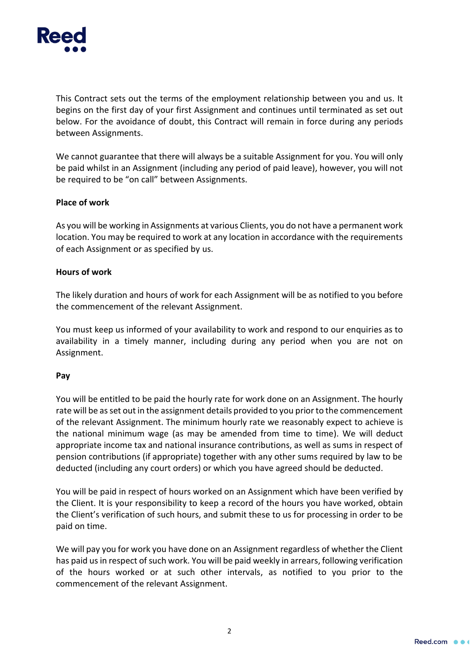

This Contract sets out the terms of the employment relationship between you and us. It begins on the first day of your first Assignment and continues until terminated as set out below. For the avoidance of doubt, this Contract will remain in force during any periods between Assignments.

We cannot guarantee that there will always be a suitable Assignment for you. You will only be paid whilst in an Assignment (including any period of paid leave), however, you will not be required to be "on call" between Assignments.

#### **Place of work**

As you will be working in Assignments at various Clients, you do not have a permanent work location. You may be required to work at any location in accordance with the requirements of each Assignment or as specified by us.

#### **Hours of work**

The likely duration and hours of work for each Assignment will be as notified to you before the commencement of the relevant Assignment.

You must keep us informed of your availability to work and respond to our enquiries as to availability in a timely manner, including during any period when you are not on Assignment.

#### **Pay**

You will be entitled to be paid the hourly rate for work done on an Assignment. The hourly rate will be as set out in the assignment details provided to you prior to the commencement of the relevant Assignment. The minimum hourly rate we reasonably expect to achieve is the national minimum wage (as may be amended from time to time). We will deduct appropriate income tax and national insurance contributions, as well as sums in respect of pension contributions (if appropriate) together with any other sums required by law to be deducted (including any court orders) or which you have agreed should be deducted.

You will be paid in respect of hours worked on an Assignment which have been verified by the Client. It is your responsibility to keep a record of the hours you have worked, obtain the Client's verification of such hours, and submit these to us for processing in order to be paid on time.

We will pay you for work you have done on an Assignment regardless of whether the Client has paid us in respect of such work. You will be paid weekly in arrears, following verification of the hours worked or at such other intervals, as notified to you prior to the commencement of the relevant Assignment.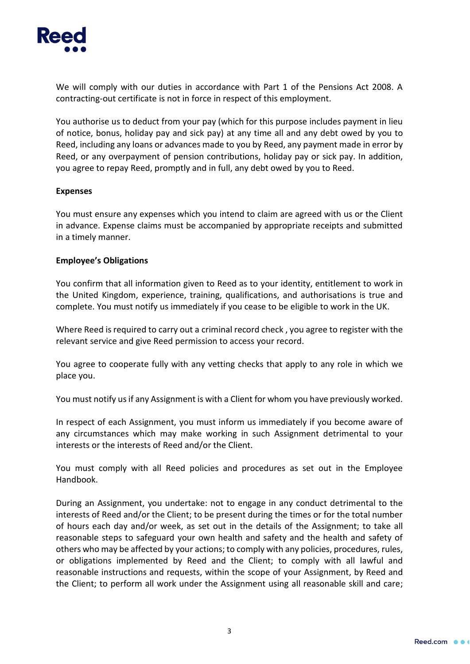

We will comply with our duties in accordance with Part 1 of the Pensions Act 2008. A contracting-out certificate is not in force in respect of this employment.

You authorise us to deduct from your pay (which for this purpose includes payment in lieu of notice, bonus, holiday pay and sick pay) at any time all and any debt owed by you to Reed, including any loans or advances made to you by Reed, any payment made in error by Reed, or any overpayment of pension contributions, holiday pay or sick pay. In addition, you agree to repay Reed, promptly and in full, any debt owed by you to Reed.

#### **Expenses**

You must ensure any expenses which you intend to claim are agreed with us or the Client in advance. Expense claims must be accompanied by appropriate receipts and submitted in a timely manner.

#### **Employee's Obligations**

You confirm that all information given to Reed as to your identity, entitlement to work in the United Kingdom, experience, training, qualifications, and authorisations is true and complete. You must notify us immediately if you cease to be eligible to work in the UK.

Where Reed is required to carry out a criminal record check , you agree to register with the relevant service and give Reed permission to access your record.

You agree to cooperate fully with any vetting checks that apply to any role in which we place you.

You must notify us if any Assignment is with a Client for whom you have previously worked.

In respect of each Assignment, you must inform us immediately if you become aware of any circumstances which may make working in such Assignment detrimental to your interests or the interests of Reed and/or the Client.

You must comply with all Reed policies and procedures as set out in the Employee Handbook.

During an Assignment, you undertake: not to engage in any conduct detrimental to the interests of Reed and/or the Client; to be present during the times or for the total number of hours each day and/or week, as set out in the details of the Assignment; to take all reasonable steps to safeguard your own health and safety and the health and safety of others who may be affected by your actions; to comply with any policies, procedures, rules, or obligations implemented by Reed and the Client; to comply with all lawful and reasonable instructions and requests, within the scope of your Assignment, by Reed and the Client; to perform all work under the Assignment using all reasonable skill and care;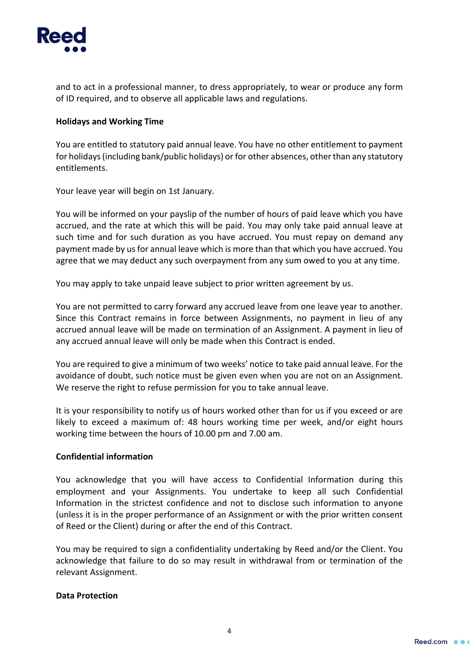

and to act in a professional manner, to dress appropriately, to wear or produce any form of ID required, and to observe all applicable laws and regulations.

### **Holidays and Working Time**

You are entitled to statutory paid annual leave. You have no other entitlement to payment for holidays (including bank/public holidays) or for other absences, other than any statutory entitlements.

Your leave year will begin on 1st January.

You will be informed on your payslip of the number of hours of paid leave which you have accrued, and the rate at which this will be paid. You may only take paid annual leave at such time and for such duration as you have accrued. You must repay on demand any payment made by us for annual leave which is more than that which you have accrued. You agree that we may deduct any such overpayment from any sum owed to you at any time.

You may apply to take unpaid leave subject to prior written agreement by us.

You are not permitted to carry forward any accrued leave from one leave year to another. Since this Contract remains in force between Assignments, no payment in lieu of any accrued annual leave will be made on termination of an Assignment. A payment in lieu of any accrued annual leave will only be made when this Contract is ended.

You are required to give a minimum of two weeks' notice to take paid annual leave. For the avoidance of doubt, such notice must be given even when you are not on an Assignment. We reserve the right to refuse permission for you to take annual leave.

It is your responsibility to notify us of hours worked other than for us if you exceed or are likely to exceed a maximum of: 48 hours working time per week, and/or eight hours working time between the hours of 10.00 pm and 7.00 am.

#### **Confidential information**

You acknowledge that you will have access to Confidential Information during this employment and your Assignments. You undertake to keep all such Confidential Information in the strictest confidence and not to disclose such information to anyone (unless it is in the proper performance of an Assignment or with the prior written consent of Reed or the Client) during or after the end of this Contract.

You may be required to sign a confidentiality undertaking by Reed and/or the Client. You acknowledge that failure to do so may result in withdrawal from or termination of the relevant Assignment.

#### **Data Protection**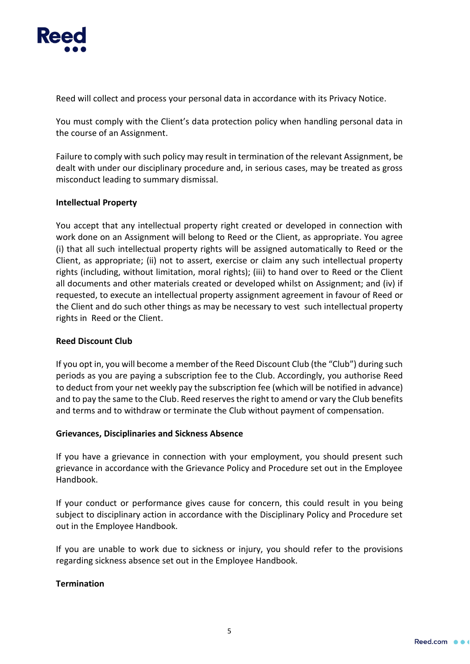

Reed will collect and process your personal data in accordance with its Privacy Notice.

You must comply with the Client's data protection policy when handling personal data in the course of an Assignment.

Failure to comply with such policy may result in termination of the relevant Assignment, be dealt with under our disciplinary procedure and, in serious cases, may be treated as gross misconduct leading to summary dismissal.

## **Intellectual Property**

You accept that any intellectual property right created or developed in connection with work done on an Assignment will belong to Reed or the Client, as appropriate. You agree (i) that all such intellectual property rights will be assigned automatically to Reed or the Client, as appropriate; (ii) not to assert, exercise or claim any such intellectual property rights (including, without limitation, moral rights); (iii) to hand over to Reed or the Client all documents and other materials created or developed whilst on Assignment; and (iv) if requested, to execute an intellectual property assignment agreement in favour of Reed or the Client and do such other things as may be necessary to vest such intellectual property rights in Reed or the Client.

## **Reed Discount Club**

If you opt in, you will become a member of the Reed Discount Club (the "Club") during such periods as you are paying a subscription fee to the Club. Accordingly, you authorise Reed to deduct from your net weekly pay the subscription fee (which will be notified in advance) and to pay the same to the Club. Reed reserves the right to amend or vary the Club benefits and terms and to withdraw or terminate the Club without payment of compensation.

## **Grievances, Disciplinaries and Sickness Absence**

If you have a grievance in connection with your employment, you should present such grievance in accordance with the Grievance Policy and Procedure set out in the Employee Handbook.

If your conduct or performance gives cause for concern, this could result in you being subject to disciplinary action in accordance with the Disciplinary Policy and Procedure set out in the Employee Handbook.

If you are unable to work due to sickness or injury, you should refer to the provisions regarding sickness absence set out in the Employee Handbook.

## **Termination**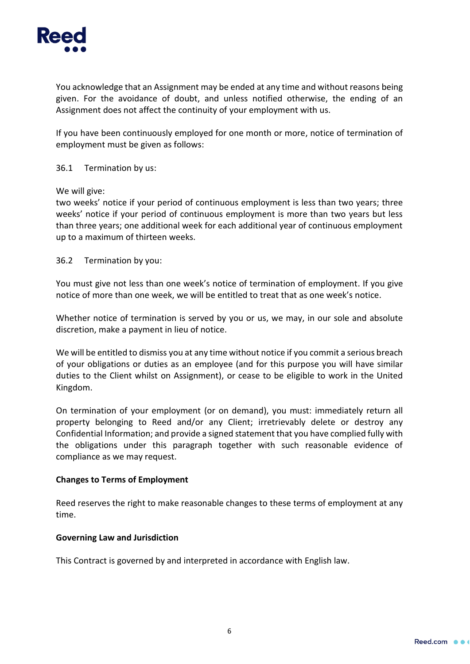

You acknowledge that an Assignment may be ended at any time and without reasons being given. For the avoidance of doubt, and unless notified otherwise, the ending of an Assignment does not affect the continuity of your employment with us.

If you have been continuously employed for one month or more, notice of termination of employment must be given as follows:

36.1 Termination by us:

We will give:

two weeks' notice if your period of continuous employment is less than two years; three weeks' notice if your period of continuous employment is more than two years but less than three years; one additional week for each additional year of continuous employment up to a maximum of thirteen weeks.

36.2 Termination by you:

You must give not less than one week's notice of termination of employment. If you give notice of more than one week, we will be entitled to treat that as one week's notice.

Whether notice of termination is served by you or us, we may, in our sole and absolute discretion, make a payment in lieu of notice.

We will be entitled to dismiss you at any time without notice if you commit a serious breach of your obligations or duties as an employee (and for this purpose you will have similar duties to the Client whilst on Assignment), or cease to be eligible to work in the United Kingdom.

On termination of your employment (or on demand), you must: immediately return all property belonging to Reed and/or any Client; irretrievably delete or destroy any Confidential Information; and provide a signed statement that you have complied fully with the obligations under this paragraph together with such reasonable evidence of compliance as we may request.

## **Changes to Terms of Employment**

Reed reserves the right to make reasonable changes to these terms of employment at any time.

#### **Governing Law and Jurisdiction**

This Contract is governed by and interpreted in accordance with English law.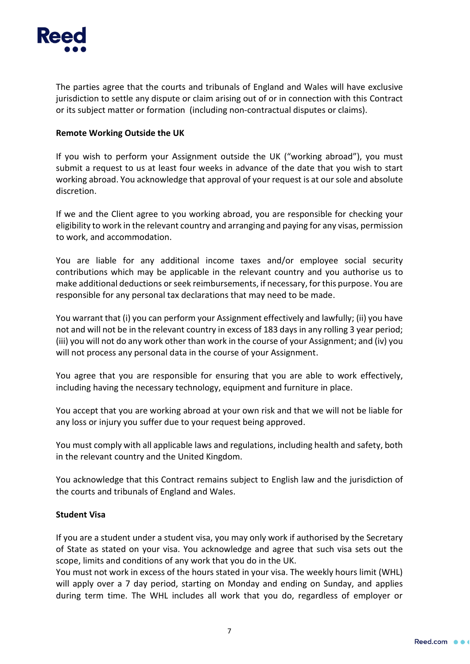

The parties agree that the courts and tribunals of England and Wales will have exclusive jurisdiction to settle any dispute or claim arising out of or in connection with this Contract or its subject matter or formation (including non-contractual disputes or claims).

## **Remote Working Outside the UK**

If you wish to perform your Assignment outside the UK ("working abroad"), you must submit a request to us at least four weeks in advance of the date that you wish to start working abroad. You acknowledge that approval of your request is at our sole and absolute discretion.

If we and the Client agree to you working abroad, you are responsible for checking your eligibility to work in the relevant country and arranging and paying for any visas, permission to work, and accommodation.

You are liable for any additional income taxes and/or employee social security contributions which may be applicable in the relevant country and you authorise us to make additional deductions or seek reimbursements, if necessary, for this purpose. You are responsible for any personal tax declarations that may need to be made.

You warrant that (i) you can perform your Assignment effectively and lawfully; (ii) you have not and will not be in the relevant country in excess of 183 days in any rolling 3 year period; (iii) you will not do any work other than work in the course of your Assignment; and (iv) you will not process any personal data in the course of your Assignment.

You agree that you are responsible for ensuring that you are able to work effectively, including having the necessary technology, equipment and furniture in place.

You accept that you are working abroad at your own risk and that we will not be liable for any loss or injury you suffer due to your request being approved.

You must comply with all applicable laws and regulations, including health and safety, both in the relevant country and the United Kingdom.

You acknowledge that this Contract remains subject to English law and the jurisdiction of the courts and tribunals of England and Wales.

## **Student Visa**

If you are a student under a student visa, you may only work if authorised by the Secretary of State as stated on your visa. You acknowledge and agree that such visa sets out the scope, limits and conditions of any work that you do in the UK.

You must not work in excess of the hours stated in your visa. The weekly hours limit (WHL) will apply over a 7 day period, starting on Monday and ending on Sunday, and applies during term time. The WHL includes all work that you do, regardless of employer or